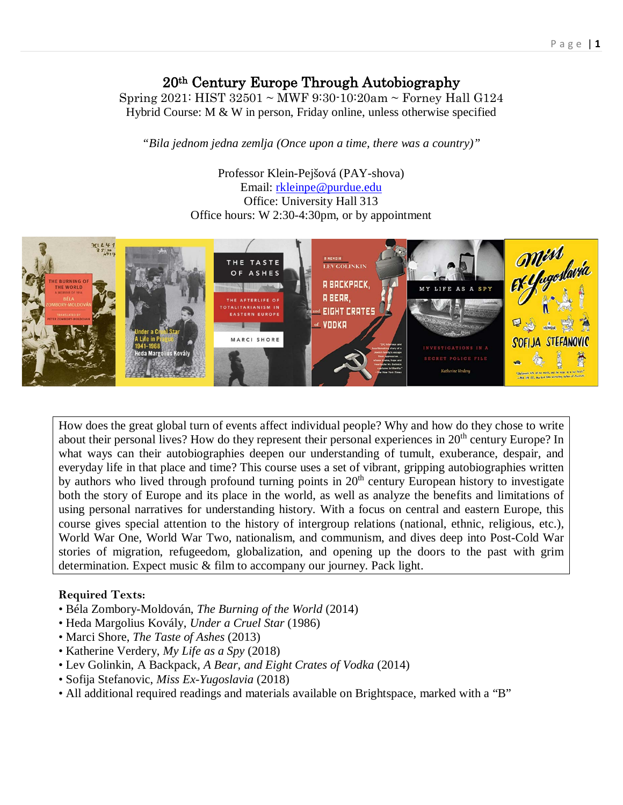# 20th Century Europe Through Autobiography

Spring 2021: HIST 32501 ~ MWF 9:30-10:20am ~ Forney Hall G124 Hybrid Course: M & W in person, Friday online, unless otherwise specified

*"Bila jednom jedna zemlja (Once upon a time, there was a country)"*

Professor Klein-Pejšová (PAY-shova) Email: [rkleinpe@purdue.edu](mailto:rkleinpe@purdue.edu) Office: University Hall 313 Office hours: W 2:30-4:30pm, or by appointment



How does the great global turn of events affect individual people? Why and how do they chose to write about their personal lives? How do they represent their personal experiences in 20<sup>th</sup> century Europe? In what ways can their autobiographies deepen our understanding of tumult, exuberance, despair, and everyday life in that place and time? This course uses a set of vibrant, gripping autobiographies written by authors who lived through profound turning points in  $20<sup>th</sup>$  century European history to investigate both the story of Europe and its place in the world, as well as analyze the benefits and limitations of using personal narratives for understanding history. With a focus on central and eastern Europe, this course gives special attention to the history of intergroup relations (national, ethnic, religious, etc.), World War One, World War Two, nationalism, and communism, and dives deep into Post-Cold War stories of migration, refugeedom, globalization, and opening up the doors to the past with grim determination. Expect music & film to accompany our journey. Pack light.

## **Required Texts:**

- Béla Zombory-Moldován, *The Burning of the World* (2014)
- Heda Margolius Kovály, *Under a Cruel Star* (1986)
- Marci Shore, *The Taste of Ashes* (2013)
- Katherine Verdery, *My Life as a Spy* (2018)
- Lev Golinkin, A Backpack, *A Bear, and Eight Crates of Vodka* (2014)
- Sofija Stefanovic, *Miss Ex-Yugoslavia* (2018)
- All additional required readings and materials available on Brightspace, marked with a "B"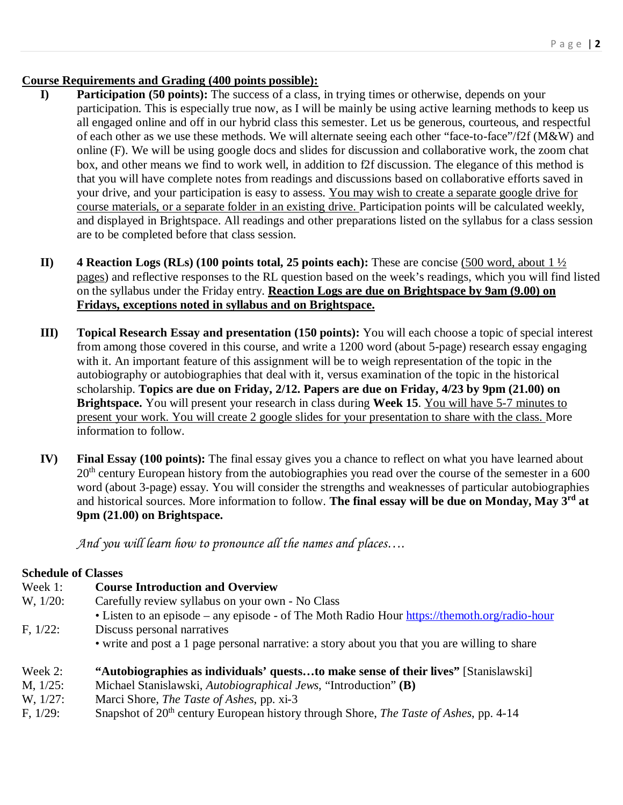### **Course Requirements and Grading (400 points possible):**

- **I) Participation (50 points):** The success of a class, in trying times or otherwise, depends on your participation. This is especially true now, as I will be mainly be using active learning methods to keep us all engaged online and off in our hybrid class this semester. Let us be generous, courteous, and respectful of each other as we use these methods. We will alternate seeing each other "face-to-face"/f2f (M&W) and online (F). We will be using google docs and slides for discussion and collaborative work, the zoom chat box, and other means we find to work well, in addition to f2f discussion. The elegance of this method is that you will have complete notes from readings and discussions based on collaborative efforts saved in your drive, and your participation is easy to assess. You may wish to create a separate google drive for course materials, or a separate folder in an existing drive. Participation points will be calculated weekly, and displayed in Brightspace. All readings and other preparations listed on the syllabus for a class session are to be completed before that class session.
- **II) 4 Reaction Logs (RLs) (100 points total, 25 points each):** These are concise (500 word, about  $1\frac{1}{2}$ pages) and reflective responses to the RL question based on the week's readings, which you will find listed on the syllabus under the Friday entry. **Reaction Logs are due on Brightspace by 9am (9.00) on Fridays, exceptions noted in syllabus and on Brightspace.**
- **III) Topical Research Essay and presentation (150 points):** You will each choose a topic of special interest from among those covered in this course, and write a 1200 word (about 5-page) research essay engaging with it. An important feature of this assignment will be to weigh representation of the topic in the autobiography or autobiographies that deal with it, versus examination of the topic in the historical scholarship. **Topics are due on Friday, 2/12. Papers are due on Friday, 4/23 by 9pm (21.00) on Brightspace.** You will present your research in class during **Week 15**. You will have 5-7 minutes to present your work. You will create 2 google slides for your presentation to share with the class. More information to follow.
- **IV) Final Essay (100 points):** The final essay gives you a chance to reflect on what you have learned about 20<sup>th</sup> century European history from the autobiographies you read over the course of the semester in a 600 word (about 3-page) essay. You will consider the strengths and weaknesses of particular autobiographies and historical sources. More information to follow. **The final essay will be due on Monday, May 3rd at 9pm (21.00) on Brightspace.**

*And you will learn how to pronounce all the names and places….*

#### **Schedule of Classes**

| Week 1:     | <b>Course Introduction and Overview</b>                                                       |
|-------------|-----------------------------------------------------------------------------------------------|
| W, 1/20:    | Carefully review syllabus on your own - No Class                                              |
|             | • Listen to an episode – any episode - of The Moth Radio Hour https://themoth.org/radio-hour  |
| $F, 1/22$ : | Discuss personal narratives                                                                   |
|             | • write and post a 1 page personal narrative: a story about you that you are willing to share |
| Week 2:     | "Autobiographies as individuals' queststo make sense of their lives" [Stanislawski]           |
| M, 1/25:    | Michael Stanislawski, Autobiographical Jews, "Introduction" (B)                               |
| W, 1/27:    | Marci Shore, <i>The Taste of Ashes</i> , pp. xi-3                                             |

F, 1/29: Snapshot of 20<sup>th</sup> century European history through Shore, *The Taste of Ashes*, pp. 4-14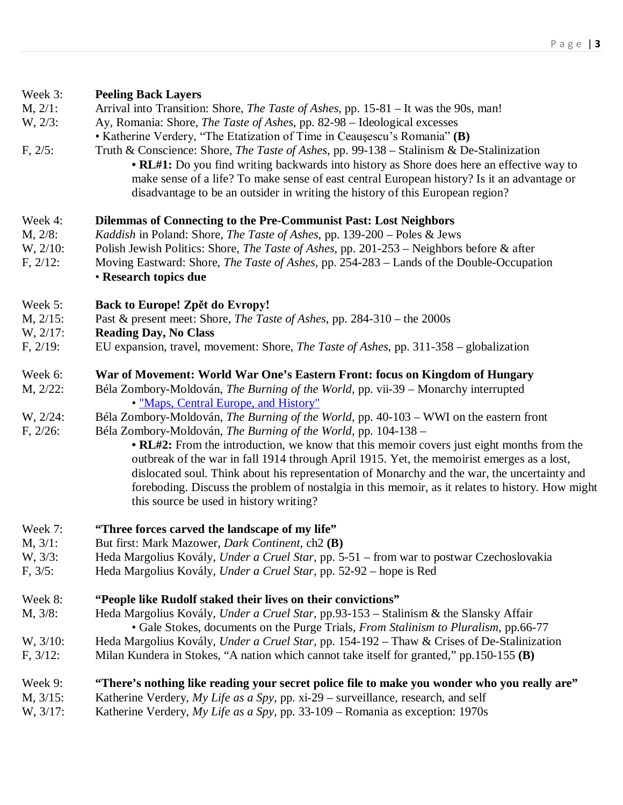| Week 3:        | <b>Peeling Back Layers</b>                                                                       |
|----------------|--------------------------------------------------------------------------------------------------|
| M, 2/1:        | Arrival into Transition: Shore, The Taste of Ashes, pp. 15-81 - It was the 90s, man!             |
| W, 2/3:        | Ay, Romania: Shore, The Taste of Ashes, pp. 82-98 - Ideological excesses                         |
|                | • Katherine Verdery, "The Etatization of Time in Ceaușescu's Romania" (B)                        |
| F, 2/5:        | Truth & Conscience: Shore, The Taste of Ashes, pp. 99-138 - Stalinism & De-Stalinization         |
|                | • RL#1: Do you find writing backwards into history as Shore does here an effective way to        |
|                | make sense of a life? To make sense of east central European history? Is it an advantage or      |
|                | disadvantage to be an outsider in writing the history of this European region?                   |
| Week 4:        | Dilemmas of Connecting to the Pre-Communist Past: Lost Neighbors                                 |
| M, 2/8:        | Kaddish in Poland: Shore, The Taste of Ashes, pp. 139-200 - Poles & Jews                         |
| $W, 2/10$ :    | Polish Jewish Politics: Shore, The Taste of Ashes, pp. 201-253 – Neighbors before & after        |
| $F, 2/12$ :    | Moving Eastward: Shore, <i>The Taste of Ashes</i> , pp. 254-283 – Lands of the Double-Occupation |
|                | • Research topics due                                                                            |
| Week 5:        | Back to Europe! Zpět do Evropy!                                                                  |
| $M$ , $2/15$ : | Past & present meet: Shore, <i>The Taste of Ashes</i> , pp. 284-310 – the 2000s                  |
| W, 2/17:       | <b>Reading Day, No Class</b>                                                                     |
| $F, 2/19$ :    | EU expansion, travel, movement: Shore, <i>The Taste of Ashes</i> , pp. 311-358 – globalization   |
| Week 6:        | War of Movement: World War One's Eastern Front: focus on Kingdom of Hungary                      |
| $M, 2/22$ :    | Béla Zombory-Moldován, The Burning of the World, pp. vii-39 - Monarchy interrupted               |
|                | • "Maps, Central Europe, and History"                                                            |
| W, 2/24:       | Béla Zombory-Moldován, The Burning of the World, pp. 40-103 - WWI on the eastern front           |
| $F, 2/26$ :    | Béla Zombory-Moldován, The Burning of the World, pp. 104-138 -                                   |
|                | • RL#2: From the introduction, we know that this memoir covers just eight months from the        |
|                | outbreak of the war in fall 1914 through April 1915. Yet, the memoirist emerges as a lost,       |
|                | dislocated soul. Think about his representation of Monarchy and the war, the uncertainty and     |
|                | foreboding. Discuss the problem of nostalgia in this memoir, as it relates to history. How might |
|                | this source be used in history writing?                                                          |
| Week 7:        | "Three forces carved the landscape of my life"                                                   |
| M, 3/1:        | But first: Mark Mazower, <i>Dark Continent</i> , ch2 (B)                                         |
| W, 3/3:        | Heda Margolius Kovály, Under a Cruel Star, pp. 5-51 - from war to postwar Czechoslovakia         |
| F, 3/5:        | Heda Margolius Kovály, Under a Cruel Star, pp. 52-92 – hope is Red                               |
| Week 8:        | "People like Rudolf staked their lives on their convictions"                                     |
| M, 3/8:        | Heda Margolius Kovály, Under a Cruel Star, pp.93-153 - Stalinism & the Slansky Affair            |
|                | • Gale Stokes, documents on the Purge Trials, <i>From Stalinism to Pluralism</i> , pp.66-77      |
| W, $3/10$ :    | Heda Margolius Kovály, Under a Cruel Star, pp. 154-192 - Thaw & Crises of De-Stalinization       |
| $F, 3/12$ :    | Milan Kundera in Stokes, "A nation which cannot take itself for granted," pp.150-155 (B)         |
| Week 9:        | "There's nothing like reading your secret police file to make you wonder who you really are"     |
| M, $3/15$ :    | Katherine Verdery, My Life as a Spy, pp. xi-29 – surveillance, research, and self                |
| W, $3/17$ :    | Katherine Verdery, My Life as a Spy, pp. 33-109 – Romania as exception: 1970s                    |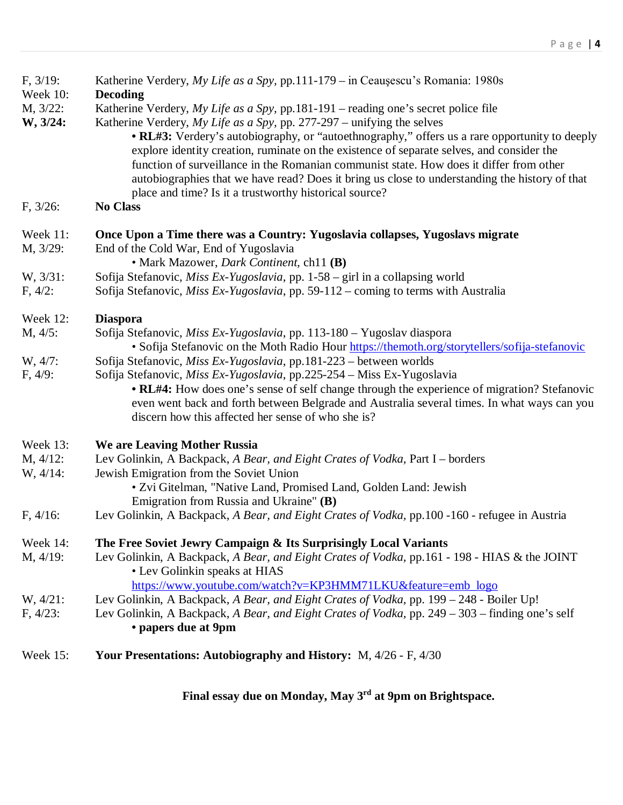| $F, 3/19$ :<br><b>Week 10:</b> | Katherine Verdery, My Life as a Spy, pp.111-179 - in Ceaușescu's Romania: 1980s                                                                                                                                                                                                                                                                                                                                                                   |
|--------------------------------|---------------------------------------------------------------------------------------------------------------------------------------------------------------------------------------------------------------------------------------------------------------------------------------------------------------------------------------------------------------------------------------------------------------------------------------------------|
| M, 3/22:                       | <b>Decoding</b><br>Katherine Verdery, My Life as a Spy, pp. 181-191 – reading one's secret police file                                                                                                                                                                                                                                                                                                                                            |
| W, 3/24:                       | Katherine Verdery, My Life as a Spy, pp. $277-297$ – unifying the selves                                                                                                                                                                                                                                                                                                                                                                          |
|                                | • RL#3: Verdery's autobiography, or "autoethnography," offers us a rare opportunity to deeply<br>explore identity creation, ruminate on the existence of separate selves, and consider the<br>function of surveillance in the Romanian communist state. How does it differ from other<br>autobiographies that we have read? Does it bring us close to understanding the history of that<br>place and time? Is it a trustworthy historical source? |
| $F, 3/26$ :                    | <b>No Class</b>                                                                                                                                                                                                                                                                                                                                                                                                                                   |
| Week 11:                       | Once Upon a Time there was a Country: Yugoslavia collapses, Yugoslavs migrate                                                                                                                                                                                                                                                                                                                                                                     |
| M, 3/29:                       | End of the Cold War, End of Yugoslavia                                                                                                                                                                                                                                                                                                                                                                                                            |
|                                | • Mark Mazower, <i>Dark Continent</i> , ch11 (B)                                                                                                                                                                                                                                                                                                                                                                                                  |
| W, 3/31:                       | Sofija Stefanovic, Miss Ex-Yugoslavia, pp. 1-58 – girl in a collapsing world                                                                                                                                                                                                                                                                                                                                                                      |
| $F, 4/2$ :                     | Sofija Stefanovic, Miss Ex-Yugoslavia, pp. 59-112 – coming to terms with Australia                                                                                                                                                                                                                                                                                                                                                                |
| Week 12:                       | <b>Diaspora</b>                                                                                                                                                                                                                                                                                                                                                                                                                                   |
| M, 4/5:                        | Sofija Stefanovic, Miss Ex-Yugoslavia, pp. 113-180 - Yugoslav diaspora<br>• Sofija Stefanovic on the Moth Radio Hour https://themoth.org/storytellers/sofija-stefanovic                                                                                                                                                                                                                                                                           |
| W, 4/7:                        | Sofija Stefanovic, Miss Ex-Yugoslavia, pp.181-223 – between worlds                                                                                                                                                                                                                                                                                                                                                                                |
| F, 4/9:                        | Sofija Stefanovic, Miss Ex-Yugoslavia, pp.225-254 - Miss Ex-Yugoslavia                                                                                                                                                                                                                                                                                                                                                                            |
|                                | • RL#4: How does one's sense of self change through the experience of migration? Stefanovic<br>even went back and forth between Belgrade and Australia several times. In what ways can you<br>discern how this affected her sense of who she is?                                                                                                                                                                                                  |
| Week 13:                       | We are Leaving Mother Russia                                                                                                                                                                                                                                                                                                                                                                                                                      |
| $M, 4/12$ :                    | Lev Golinkin, A Backpack, A Bear, and Eight Crates of Vodka, Part I - borders                                                                                                                                                                                                                                                                                                                                                                     |
| $W, 4/14$ :                    | Jewish Emigration from the Soviet Union                                                                                                                                                                                                                                                                                                                                                                                                           |
|                                | • Zvi Gitelman, "Native Land, Promised Land, Golden Land: Jewish                                                                                                                                                                                                                                                                                                                                                                                  |
|                                | Emigration from Russia and Ukraine" (B)                                                                                                                                                                                                                                                                                                                                                                                                           |
| $F, 4/16$ :                    | Lev Golinkin, A Backpack, A Bear, and Eight Crates of Vodka, pp.100 -160 - refugee in Austria                                                                                                                                                                                                                                                                                                                                                     |
| Week $14$ :                    | The Free Soviet Jewry Campaign & Its Surprisingly Local Variants                                                                                                                                                                                                                                                                                                                                                                                  |
| $M, 4/19$ :                    | Lev Golinkin, A Backpack, A Bear, and Eight Crates of Vodka, pp.161 - 198 - HIAS & the JOINT                                                                                                                                                                                                                                                                                                                                                      |
|                                | • Lev Golinkin speaks at HIAS                                                                                                                                                                                                                                                                                                                                                                                                                     |
|                                | https://www.youtube.com/watch?v=KP3HMM71LKU&feature=emb_logo                                                                                                                                                                                                                                                                                                                                                                                      |
| $W, 4/21$ :                    | Lev Golinkin, A Backpack, A Bear, and Eight Crates of Vodka, pp. 199 – 248 - Boiler Up!                                                                                                                                                                                                                                                                                                                                                           |
| $F, 4/23$ :                    | Lev Golinkin, A Backpack, A Bear, and Eight Crates of Vodka, pp. 249 – 303 – finding one's self<br>• papers due at 9pm                                                                                                                                                                                                                                                                                                                            |
| <b>Week 15:</b>                | Your Presentations: Autobiography and History: M, 4/26 - F, 4/30                                                                                                                                                                                                                                                                                                                                                                                  |
|                                |                                                                                                                                                                                                                                                                                                                                                                                                                                                   |

**Final essay due on Monday, May 3rd at 9pm on Brightspace.**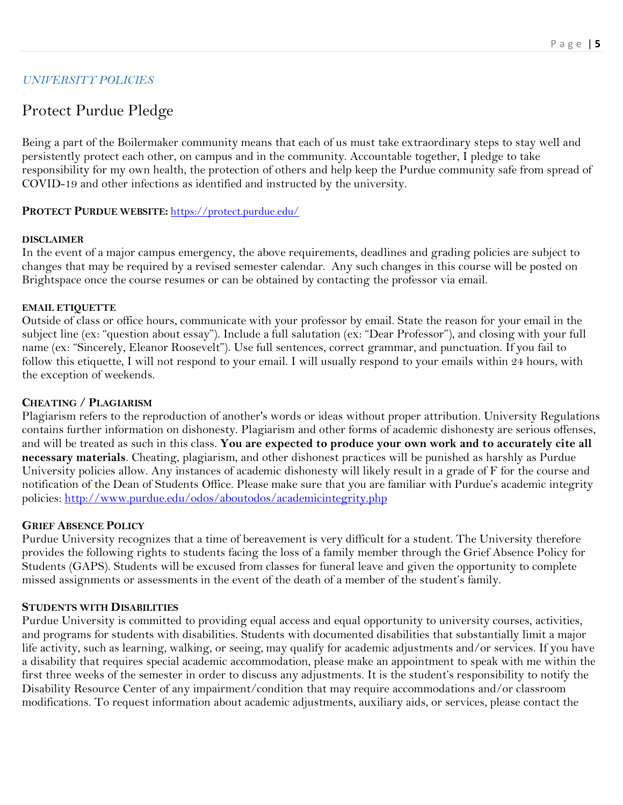# *UNIVERSITY POLICIES*

# Protect Purdue Pledge

Being a part of the Boilermaker community means that each of us must take extraordinary steps to stay well and persistently protect each other, on campus and in the community. Accountable together, I pledge to take responsibility for my own health, the protection of others and help keep the Purdue community safe from spread of COVID-19 and other infections as identified and instructed by the university.

#### **PROTECT PURDUE WEBSITE:** <https://protect.purdue.edu/>

#### **DISCLAIMER**

In the event of a major campus emergency, the above requirements, deadlines and grading policies are subject to changes that may be required by a revised semester calendar. Any such changes in this course will be posted on Brightspace once the course resumes or can be obtained by contacting the professor via email.

#### **EMAIL ETIQUETTE**

Outside of class or office hours, communicate with your professor by email. State the reason for your email in the subject line (ex: "question about essay"). Include a full salutation (ex: "Dear Professor"), and closing with your full name (ex: "Sincerely, Eleanor Roosevelt"). Use full sentences, correct grammar, and punctuation. If you fail to follow this etiquette, I will not respond to your email. I will usually respond to your emails within 24 hours, with the exception of weekends.

#### **CHEATING / PLAGIARISM**

Plagiarism refers to the reproduction of another's words or ideas without proper attribution. University Regulations contains further information on dishonesty. Plagiarism and other forms of academic dishonesty are serious offenses, and will be treated as such in this class. **You are expected to produce your own work and to accurately cite all necessary materials**. Cheating, plagiarism, and other dishonest practices will be punished as harshly as Purdue University policies allow. Any instances of academic dishonesty will likely result in a grade of F for the course and notification of the Dean of Students Office. Please make sure that you are familiar with Purdue's academic integrity policies:<http://www.purdue.edu/odos/aboutodos/academicintegrity.php>

#### **GRIEF ABSENCE POLICY**

Purdue University recognizes that a time of bereavement is very difficult for a student. The University therefore provides the following rights to students facing the loss of a family member through the Grief Absence Policy for Students (GAPS). Students will be excused from classes for funeral leave and given the opportunity to complete missed assignments or assessments in the event of the death of a member of the student's family.

#### **STUDENTS WITH DISABILITIES**

Purdue University is committed to providing equal access and equal opportunity to university courses, activities, and programs for students with disabilities. Students with documented disabilities that substantially limit a major life activity, such as learning, walking, or seeing, may qualify for academic adjustments and/or services. If you have a disability that requires special academic accommodation, please make an appointment to speak with me within the first three weeks of the semester in order to discuss any adjustments. It is the student's responsibility to notify the Disability Resource Center of any impairment/condition that may require accommodations and/or classroom modifications. To request information about academic adjustments, auxiliary aids, or services, please contact the